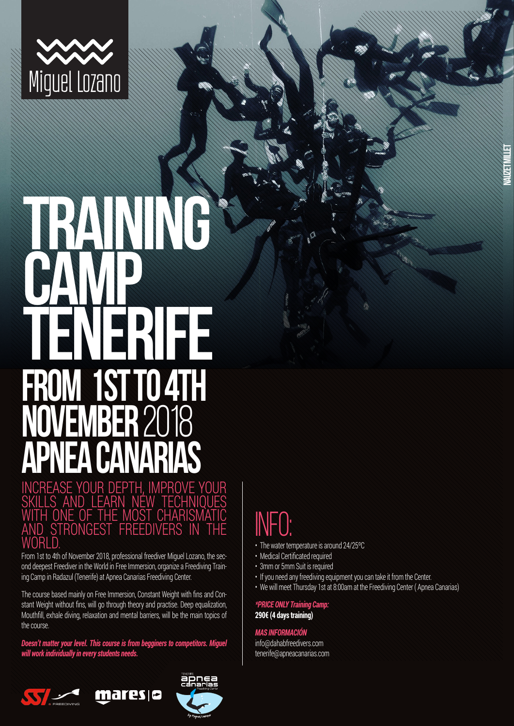

# **TRAINING CAMP** TENER<br>2012 **FROM 1ST TO 4TH NOVEMBER** 2018 **APNEA CANARIAS**

INCREASE YOUR DEPTH, IMPROVE YOUR SKILLS AND LEARN NEW TECHNIQUES WITH ONE OF THE MOST CHARISMATIC AND STRONGEST FREEDIVERS IN THE 'NRI D

From 1st to 4th of November 2018, professional freediver Miguel Lozano, the second deepest Freediver in the World in Free Immersion, organize a Freediving Training Camp in Radazul (Tenerife) at Apnea Canarias Freediving Center.

The course based mainly on Free Immersion, Constant Weight with fins and Constant Weight without fins, will go through theory and practise. Deep equalization, Mouthfill, exhale diving, relaxation and mental barriers, will be the main topics of the course.

*Doesn't matter your level. This course is from begginers to competitors. Miguel will work individually in every students needs.*

maresis





## INFO:

- The water temperature is around 24/25ºC
- Medical Certificated required
- 3mm or 5mm Suit is required
- If you need any freediving equipment you can take it from the Center.
- We will meet Thursday 1st at 8:00am at the Freediving Center ( Apnea Canarias)

**Nauzet Millet**

*\*PRICE ONLY Training Camp:* **290€ (4 days training)** 

### *MAS INFORMACIÓN*

info@dahabfreedivers.com tenerife@apneacanarias.com